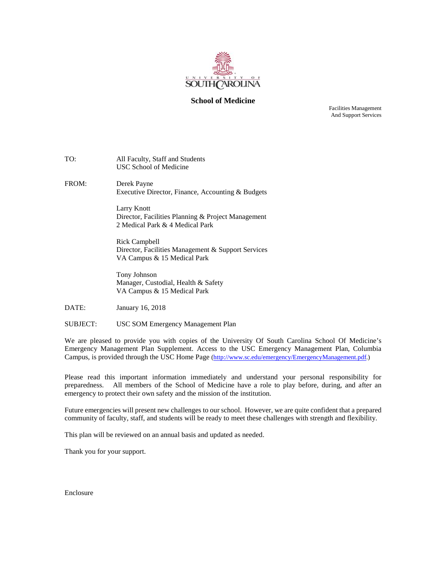

#### **School of Medicine**

Facilities Management And Support Services

| TO: | All Faculty, Staff and Students |  |  |
|-----|---------------------------------|--|--|
|     | USC School of Medicine          |  |  |
|     |                                 |  |  |

FROM: Derek Payne Executive Director, Finance, Accounting & Budgets

> Larry Knott Director, Facilities Planning & Project Management 2 Medical Park & 4 Medical Park

> Rick Campbell Director, Facilities Management & Support Services VA Campus & 15 Medical Park

Tony Johnson Manager, Custodial, Health & Safety VA Campus & 15 Medical Park

DATE: January 16, 2018

SUBJECT: USC SOM Emergency Management Plan

We are pleased to provide you with copies of the University Of South Carolina School Of Medicine's Emergency Management Plan Supplement. Access to the USC Emergency Management Plan, Columbia Campus, is provided through the USC Home Page [\(http://www.sc.edu/emergency/EmergencyManagement.pdf.](http://www.sc.edu/emergency/EmergencyManagement.pdf))

Please read this important information immediately and understand your personal responsibility for preparedness. All members of the School of Medicine have a role to play before, during, and after an emergency to protect their own safety and the mission of the institution.

Future emergencies will present new challenges to our school. However, we are quite confident that a prepared community of faculty, staff, and students will be ready to meet these challenges with strength and flexibility.

This plan will be reviewed on an annual basis and updated as needed.

Thank you for your support.

Enclosure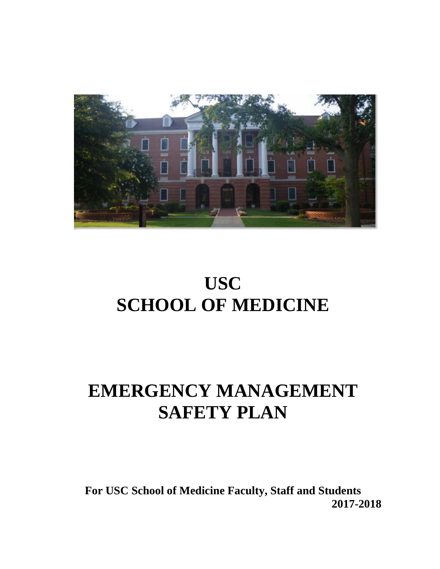

# **USC SCHOOL OF MEDICINE**

# **EMERGENCY MANAGEMENT SAFETY PLAN**

**For USC School of Medicine Faculty, Staff and Students 2017-2018**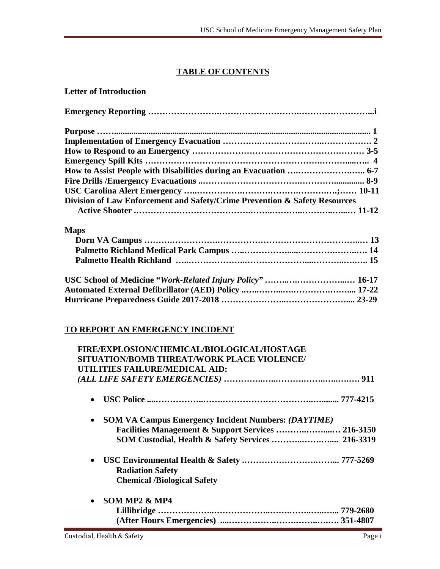#### **TABLE OF CONTENTS**

| <b>Letter of Introduction</b>                                              |    |
|----------------------------------------------------------------------------|----|
|                                                                            |    |
|                                                                            |    |
|                                                                            |    |
|                                                                            |    |
|                                                                            |    |
| How to Assist People with Disabilities during an Evacuation  6-7           |    |
|                                                                            |    |
|                                                                            |    |
| Division of Law Enforcement and Safety/Crime Prevention & Safety Resources |    |
|                                                                            |    |
| <b>Maps</b>                                                                |    |
|                                                                            | 12 |

### **Dorn VA Campus ……….…………….…………………………………………..… 13 Palmetto Richland Medical Park Campus …..…………….....………….……..…. 14 Palmetto Health Richland …..………………..…………………....………..….….. 15 USC School of Medicine "***Work-Related Injury Policy" ……***..***….……………...…* **16-17 Automated External Defibrillator (AED) Policy ..…..……...….………….…….... 17-22 Hurricane Preparedness Guide 2017-2018 …………………..………………….... 23-29**

#### **TO REPORT AN EMERGENCY INCIDENT**

| FIRE/EXPLOSION/CHEMICAL/BIOLOGICAL/HOSTAGE                              |  |
|-------------------------------------------------------------------------|--|
| SITUATION/BOMB THREAT/WORK PLACE VIOLENCE/                              |  |
| UTILITIES FAILURE/MEDICAL AID:                                          |  |
|                                                                         |  |
| $\bullet$                                                               |  |
| <b>SOM VA Campus Emergency Incident Numbers: (DAYTIME)</b><br>$\bullet$ |  |
| Facilities Management & Support Services  216-3150                      |  |
|                                                                         |  |
| $\bullet$                                                               |  |
| <b>Radiation Safety</b>                                                 |  |
| <b>Chemical /Biological Safety</b>                                      |  |
| SOM MP2 & MP4<br>$\bullet$                                              |  |
|                                                                         |  |
|                                                                         |  |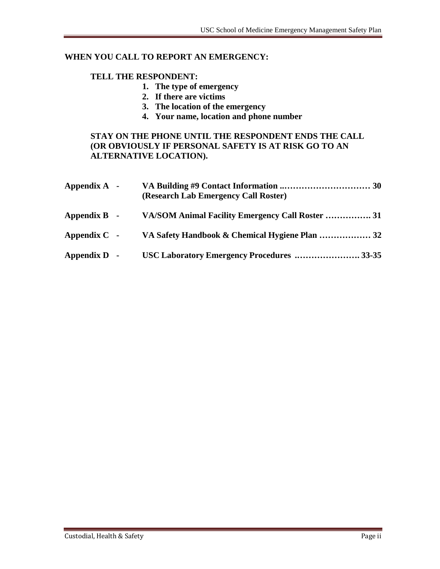#### **WHEN YOU CALL TO REPORT AN EMERGENCY:**

#### **TELL THE RESPONDENT:**

- **1. The type of emergency**
- **2. If there are victims**
- **3. The location of the emergency**
- **4. Your name, location and phone number**

#### **STAY ON THE PHONE UNTIL THE RESPONDENT ENDS THE CALL (OR OBVIOUSLY IF PERSONAL SAFETY IS AT RISK GO TO AN ALTERNATIVE LOCATION).**

| Appendix A -       | (Research Lab Emergency Call Roster)             |  |
|--------------------|--------------------------------------------------|--|
| Appendix B -       | VA/SOM Animal Facility Emergency Call Roster  31 |  |
| Appendix $C$ -     |                                                  |  |
| $\bf Appendix D -$ | USC Laboratory Emergency Procedures  33-35       |  |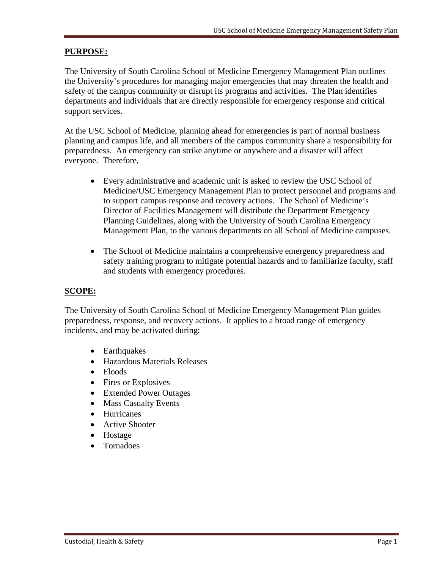#### **PURPOSE:**

The University of South Carolina School of Medicine Emergency Management Plan outlines the University's procedures for managing major emergencies that may threaten the health and safety of the campus community or disrupt its programs and activities. The Plan identifies departments and individuals that are directly responsible for emergency response and critical support services.

At the USC School of Medicine, planning ahead for emergencies is part of normal business planning and campus life, and all members of the campus community share a responsibility for preparedness. An emergency can strike anytime or anywhere and a disaster will affect everyone. Therefore,

- Every administrative and academic unit is asked to review the USC School of Medicine/USC Emergency Management Plan to protect personnel and programs and to support campus response and recovery actions. The School of Medicine's Director of Facilities Management will distribute the Department Emergency Planning Guidelines, along with the University of South Carolina Emergency Management Plan, to the various departments on all School of Medicine campuses.
- The School of Medicine maintains a comprehensive emergency preparedness and safety training program to mitigate potential hazards and to familiarize faculty, staff and students with emergency procedures.

#### **SCOPE:**

The University of South Carolina School of Medicine Emergency Management Plan guides preparedness, response, and recovery actions. It applies to a broad range of emergency incidents, and may be activated during:

- Earthquakes
- Hazardous Materials Releases
- Floods
- Fires or Explosives
- Extended Power Outages
- Mass Casualty Events
- Hurricanes
- Active Shooter
- Hostage
- Tornadoes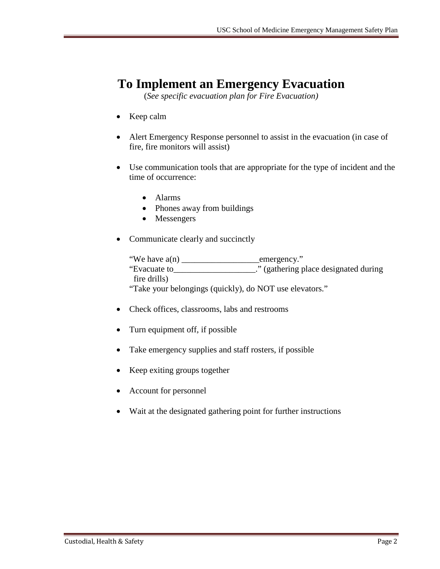## **To Implement an Emergency Evacuation**

(*See specific evacuation plan for Fire Evacuation)*

- Keep calm
- Alert Emergency Response personnel to assist in the evacuation (in case of fire, fire monitors will assist)
- Use communication tools that are appropriate for the type of incident and the time of occurrence:
	- Alarms
	- Phones away from buildings
	- Messengers
- Communicate clearly and succinctly

"We have a(n) \_\_\_\_\_\_\_\_\_\_\_\_\_\_\_\_\_\_emergency." "Evacuate to\_\_\_\_\_\_\_\_\_\_\_\_\_\_\_\_\_\_\_." (gathering place designated during fire drills) "Take your belongings (quickly), do NOT use elevators."

- Check offices, classrooms, labs and restrooms
- Turn equipment off, if possible
- Take emergency supplies and staff rosters, if possible
- Keep exiting groups together
- Account for personnel
- Wait at the designated gathering point for further instructions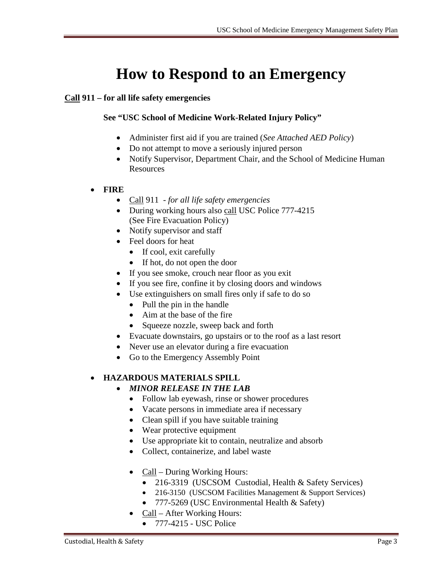# **How to Respond to an Emergency**

#### **Call 911 – for all life safety emergencies**

#### **See "USC School of Medicine Work-Related Injury Policy"**

- Administer first aid if you are trained (*See Attached AED Policy*)
- Do not attempt to move a seriously injured person
- Notify Supervisor, Department Chair, and the School of Medicine Human Resources
- **FIRE**
	- Call 911 *for all life safety emergencies*
	- During working hours also call USC Police 777-4215 (See Fire Evacuation Policy)
	- Notify supervisor and staff
	- Feel doors for heat
		- If cool, exit carefully
		- If hot, do not open the door
	- If you see smoke, crouch near floor as you exit
	- If you see fire, confine it by closing doors and windows
	- Use extinguishers on small fires only if safe to do so
		- Pull the pin in the handle
		- Aim at the base of the fire
		- Squeeze nozzle, sweep back and forth
	- Evacuate downstairs, go upstairs or to the roof as a last resort
	- Never use an elevator during a fire evacuation
	- Go to the Emergency Assembly Point

#### • **HAZARDOUS MATERIALS SPILL**

#### • *MINOR RELEASE IN THE LAB*

- Follow lab eyewash, rinse or shower procedures
- Vacate persons in immediate area if necessary
- Clean spill if you have suitable training
- Wear protective equipment
- Use appropriate kit to contain, neutralize and absorb
- Collect, containerize, and label waste
- Call During Working Hours:
	- 216-3319 (USCSOM Custodial, Health & Safety Services)
	- 216-3150 (USCSOM Facilities Management & Support Services)
	- 777-5269 (USC Environmental Health & Safety)
- Call After Working Hours:
	- 777-4215 USC Police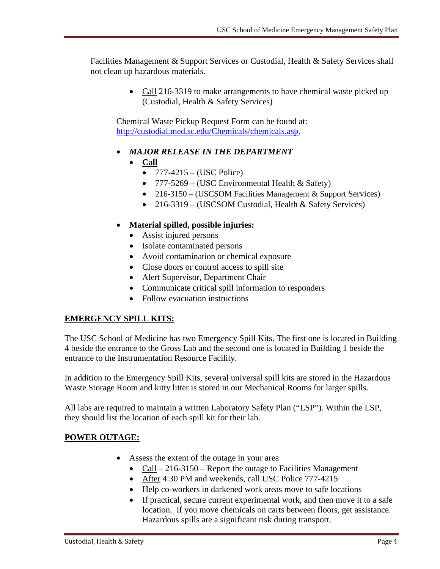Facilities Management & Support Services or Custodial, Health & Safety Services shall not clean up hazardous materials.

> • Call 216-3319 to make arrangements to have chemical waste picked up (Custodial, Health & Safety Services)

Chemical Waste Pickup Request Form can be found at: [http://custodial.med.sc.edu/Chemicals/chemicals.asp.](http://custodial.med.sc.edu/Chemicals/chemicals.asp)

- *MAJOR RELEASE IN THE DEPARTMENT*
	- **Call**
		- $777-4215 (USC \text{ Police})$
		- $777-5269 (USC Environmental Health & Safety)$
		- 216-3150 (USCSOM Facilities Management & Support Services)
		- 216-3319 (USCSOM Custodial, Health & Safety Services)

#### • **Material spilled, possible injuries:**

- Assist injured persons
- Isolate contaminated persons
- Avoid contamination or chemical exposure
- Close doors or control access to spill site
- Alert Supervisor, Department Chair
- Communicate critical spill information to responders
- Follow evacuation instructions

#### **EMERGENCY SPILL KITS:**

The USC School of Medicine has two Emergency Spill Kits. The first one is located in Building 4 beside the entrance to the Gross Lab and the second one is located in Building 1 beside the entrance to the Instrumentation Resource Facility.

In addition to the Emergency Spill Kits, several universal spill kits are stored in the Hazardous Waste Storage Room and kitty litter is stored in our Mechanical Rooms for larger spills.

All labs are required to maintain a written Laboratory Safety Plan ("LSP"). Within the LSP, they should list the location of each spill kit for their lab.

#### **POWER OUTAGE:**

- Assess the extent of the outage in your area
	- Call  $-216-3150$  Report the outage to Facilities Management
	- After 4:30 PM and weekends, call USC Police 777-4215
	- Help co-workers in darkened work areas move to safe locations
	- If practical, secure current experimental work, and then move it to a safe location. If you move chemicals on carts between floors, get assistance. Hazardous spills are a significant risk during transport.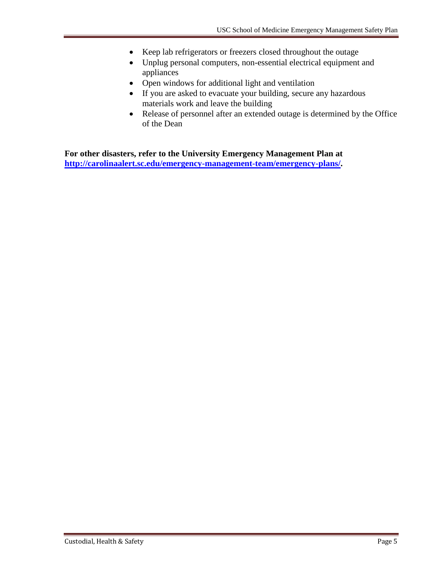- Keep lab refrigerators or freezers closed throughout the outage
- Unplug personal computers, non-essential electrical equipment and appliances
- Open windows for additional light and ventilation
- If you are asked to evacuate your building, secure any hazardous materials work and leave the building
- Release of personnel after an extended outage is determined by the Office of the Dean

**For other disasters, refer to the University Emergency Management Plan at [http://carolinaalert.sc.edu/emergency-management-team/emergency-plans/.](http://carolinaalert.sc.edu/emergency-management-team/emergency-plans/)**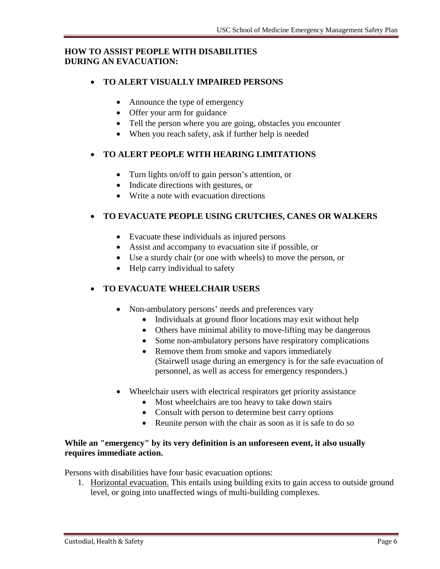#### **HOW TO ASSIST PEOPLE WITH DISABILITIES DURING AN EVACUATION:**

#### • **TO ALERT VISUALLY IMPAIRED PERSONS**

- Announce the type of emergency
- Offer your arm for guidance
- Tell the person where you are going, obstacles you encounter
- When you reach safety, ask if further help is needed

#### • **TO ALERT PEOPLE WITH HEARING LIMITATIONS**

- Turn lights on/off to gain person's attention, or
- Indicate directions with gestures, or
- Write a note with evacuation directions

#### • **TO EVACUATE PEOPLE USING CRUTCHES, CANES OR WALKERS**

- Evacuate these individuals as injured persons
- Assist and accompany to evacuation site if possible, or
- Use a sturdy chair (or one with wheels) to move the person, or
- Help carry individual to safety

#### • **TO EVACUATE WHEELCHAIR USERS**

- Non-ambulatory persons' needs and preferences vary
	- Individuals at ground floor locations may exit without help
	- Others have minimal ability to move-lifting may be dangerous
	- Some non-ambulatory persons have respiratory complications
	- Remove them from smoke and vapors immediately (Stairwell usage during an emergency is for the safe evacuation of personnel, as well as access for emergency responders.)
- Wheelchair users with electrical respirators get priority assistance
	- Most wheelchairs are too heavy to take down stairs
	- Consult with person to determine best carry options
	- Reunite person with the chair as soon as it is safe to do so

#### **While an "emergency" by its very definition is an unforeseen event, it also usually requires immediate action.**

Persons with disabilities have four basic evacuation options:

1. Horizontal evacuation. This entails using building exits to gain access to outside ground level, or going into unaffected wings of multi-building complexes.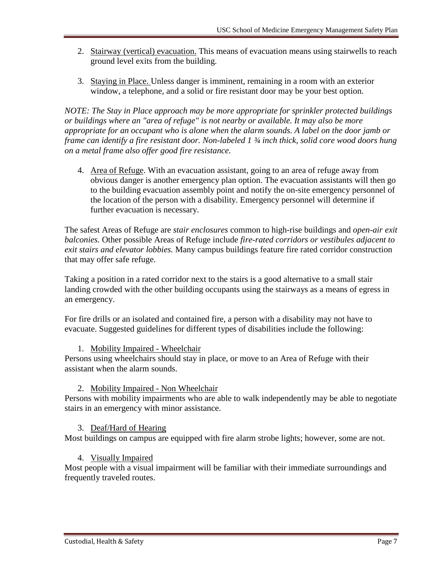- 2. Stairway (vertical) evacuation. This means of evacuation means using stairwells to reach ground level exits from the building.
- 3. Staying in Place. Unless danger is imminent, remaining in a room with an exterior window, a telephone, and a solid or fire resistant door may be your best option.

*NOTE: The Stay in Place approach may be more appropriate for sprinkler protected buildings or buildings where an "area of refuge" is not nearby or available. It may also be more appropriate for an occupant who is alone when the alarm sounds. A label on the door jamb or frame can identify a fire resistant door. Non-labeled 1 ¾ inch thick, solid core wood doors hung on a metal frame also offer good fire resistance.*

4. Area of Refuge. With an evacuation assistant, going to an area of refuge away from obvious danger is another emergency plan option. The evacuation assistants will then go to the building evacuation assembly point and notify the on-site emergency personnel of the location of the person with a disability. Emergency personnel will determine if further evacuation is necessary.

The safest Areas of Refuge are *stair enclosures* common to high-rise buildings and *open-air exit balconies.* Other possible Areas of Refuge include *fire-rated corridors or vestibules adjacent to exit stairs and elevator lobbies.* Many campus buildings feature fire rated corridor construction that may offer safe refuge.

Taking a position in a rated corridor next to the stairs is a good alternative to a small stair landing crowded with the other building occupants using the stairways as a means of egress in an emergency.

For fire drills or an isolated and contained fire, a person with a disability may not have to evacuate. Suggested guidelines for different types of disabilities include the following:

#### 1. Mobility Impaired - Wheelchair

Persons using wheelchairs should stay in place, or move to an Area of Refuge with their assistant when the alarm sounds.

#### 2. Mobility Impaired - Non Wheelchair

Persons with mobility impairments who are able to walk independently may be able to negotiate stairs in an emergency with minor assistance.

#### 3. Deaf/Hard of Hearing

Most buildings on campus are equipped with fire alarm strobe lights; however, some are not.

#### 4. Visually Impaired

Most people with a visual impairment will be familiar with their immediate surroundings and frequently traveled routes.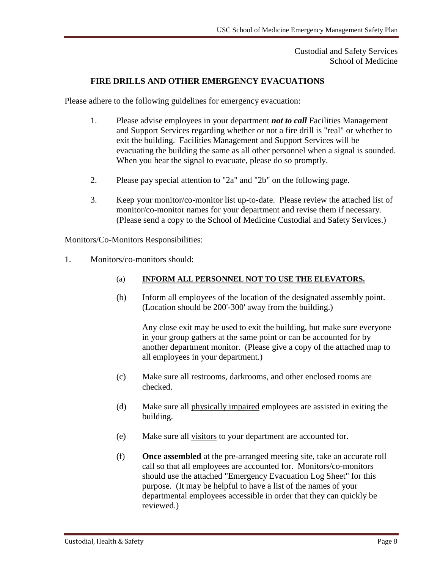#### Custodial and Safety Services School of Medicine

#### **FIRE DRILLS AND OTHER EMERGENCY EVACUATIONS**

Please adhere to the following guidelines for emergency evacuation:

- 1. Please advise employees in your department *not to call* Facilities Management and Support Services regarding whether or not a fire drill is "real" or whether to exit the building. Facilities Management and Support Services will be evacuating the building the same as all other personnel when a signal is sounded. When you hear the signal to evacuate, please do so promptly.
- 2. Please pay special attention to "2a" and "2b" on the following page.
- 3. Keep your monitor/co-monitor list up-to-date. Please review the attached list of monitor/co-monitor names for your department and revise them if necessary. (Please send a copy to the School of Medicine Custodial and Safety Services.)

Monitors/Co-Monitors Responsibilities:

1. Monitors/co-monitors should:

#### (a) **INFORM ALL PERSONNEL NOT TO USE THE ELEVATORS.**

(b) Inform all employees of the location of the designated assembly point. (Location should be 200'-300' away from the building.)

Any close exit may be used to exit the building, but make sure everyone in your group gathers at the same point or can be accounted for by another department monitor. (Please give a copy of the attached map to all employees in your department.)

- (c) Make sure all restrooms, darkrooms, and other enclosed rooms are checked.
- (d) Make sure all physically impaired employees are assisted in exiting the building.
- (e) Make sure all visitors to your department are accounted for.
- (f) **Once assembled** at the pre-arranged meeting site, take an accurate roll call so that all employees are accounted for. Monitors/co-monitors should use the attached "Emergency Evacuation Log Sheet" for this purpose. (It may be helpful to have a list of the names of your departmental employees accessible in order that they can quickly be reviewed.)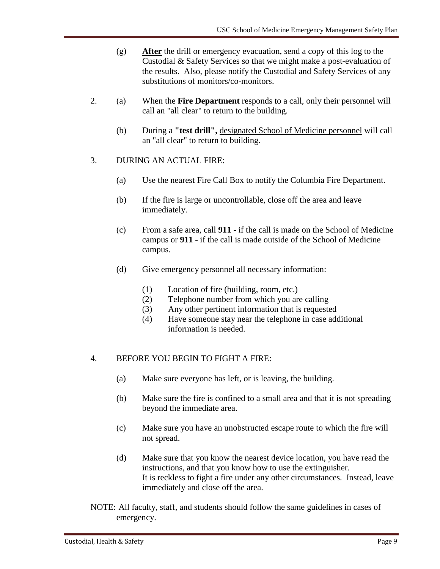- (g) **After** the drill or emergency evacuation, send a copy of this log to the Custodial & Safety Services so that we might make a post-evaluation of the results. Also, please notify the Custodial and Safety Services of any substitutions of monitors/co-monitors.
- 2. (a) When the **Fire Department** responds to a call, only their personnel will call an "all clear" to return to the building.
	- (b) During a **"test drill",** designated School of Medicine personnel will call an "all clear" to return to building.
- 3. DURING AN ACTUAL FIRE:
	- (a) Use the nearest Fire Call Box to notify the Columbia Fire Department.
	- (b) If the fire is large or uncontrollable, close off the area and leave immediately.
	- (c) From a safe area, call **911**  if the call is made on the School of Medicine campus or **911** - if the call is made outside of the School of Medicine campus.
	- (d) Give emergency personnel all necessary information:
		- (1) Location of fire (building, room, etc.)
		- (2) Telephone number from which you are calling
		- (3) Any other pertinent information that is requested
		- (4) Have someone stay near the telephone in case additional information is needed.

#### 4. BEFORE YOU BEGIN TO FIGHT A FIRE:

- (a) Make sure everyone has left, or is leaving, the building.
- (b) Make sure the fire is confined to a small area and that it is not spreading beyond the immediate area.
- (c) Make sure you have an unobstructed escape route to which the fire will not spread.
- (d) Make sure that you know the nearest device location, you have read the instructions, and that you know how to use the extinguisher. It is reckless to fight a fire under any other circumstances. Instead, leave immediately and close off the area.
- NOTE: All faculty, staff, and students should follow the same guidelines in cases of emergency.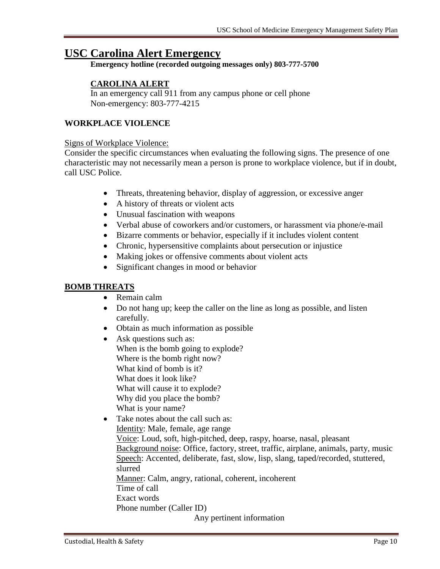### **USC Carolina Alert Emergency**

**Emergency hotline (recorded outgoing messages only) 803-777-5700**

#### **CAROLINA ALERT**

In an emergency call 911 from any campus phone or cell phone Non-emergency: 803-777-4215

#### **WORKPLACE VIOLENCE**

#### Signs of Workplace Violence:

Consider the specific circumstances when evaluating the following signs. The presence of one characteristic may not necessarily mean a person is prone to workplace violence, but if in doubt, call USC Police.

- Threats, threatening behavior, display of aggression, or excessive anger
- A history of threats or violent acts
- Unusual fascination with weapons
- Verbal abuse of coworkers and/or customers, or harassment via phone/e-mail
- Bizarre comments or behavior, especially if it includes violent content
- Chronic, hypersensitive complaints about persecution or injustice
- Making jokes or offensive comments about violent acts
- Significant changes in mood or behavior

#### **BOMB THREATS**

- Remain calm
- Do not hang up; keep the caller on the line as long as possible, and listen carefully.
- Obtain as much information as possible
- Ask questions such as: When is the bomb going to explode? Where is the bomb right now? What kind of bomb is it? What does it look like? What will cause it to explode? Why did you place the bomb? What is your name?

• Take notes about the call such as: Identity: Male, female, age range Voice: Loud, soft, high-pitched, deep, raspy, hoarse, nasal, pleasant Background noise: Office, factory, street, traffic, airplane, animals, party, music Speech: Accented, deliberate, fast, slow, lisp, slang, taped/recorded, stuttered, slurred Manner: Calm, angry, rational, coherent, incoherent Time of call Exact words Phone number (Caller ID) Any pertinent information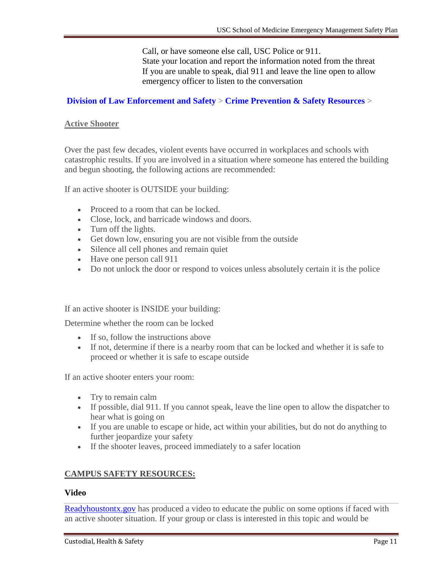Call, or have someone else call, USC Police or 911. State your location and report the information noted from the threat If you are unable to speak, dial 911 and leave the line open to allow emergency officer to listen to the conversation

#### **[Division of Law Enforcement and Safety](http://les.sc.edu/)** > **[Crime Prevention & Safety Resources](http://les.sc.edu/crime-prevention-and-safety-resources/)** >

#### **Active Shooter**

Over the past few decades, violent events have occurred in workplaces and schools with catastrophic results. If you are involved in a situation where someone has entered the building and begun shooting, the following actions are recommended:

If an active shooter is OUTSIDE your building:

- Proceed to a room that can be locked.
- Close, lock, and barricade windows and doors.
- Turn off the lights.
- Get down low, ensuring you are not visible from the outside
- Silence all cell phones and remain quiet
- Have one person call 911
- Do not unlock the door or respond to voices unless absolutely certain it is the police

If an active shooter is INSIDE your building:

Determine whether the room can be locked

- If so, follow the instructions above
- If not, determine if there is a nearby room that can be locked and whether it is safe to proceed or whether it is safe to escape outside

If an active shooter enters your room:

- Try to remain calm
- If possible, dial 911. If you cannot speak, leave the line open to allow the dispatcher to hear what is going on
- If you are unable to escape or hide, act within your abilities, but do not do anything to further jeopardize your safety
- If the shooter leaves, proceed immediately to a safer location

#### **CAMPUS SAFETY RESOURCES:**

#### **Video**

[Readyhoustontx.gov](http://www.readyhoustontx.gov/runhidefightenglish.html) has produced a video to educate the public on some options if faced with an active shooter situation. If your group or class is interested in this topic and would be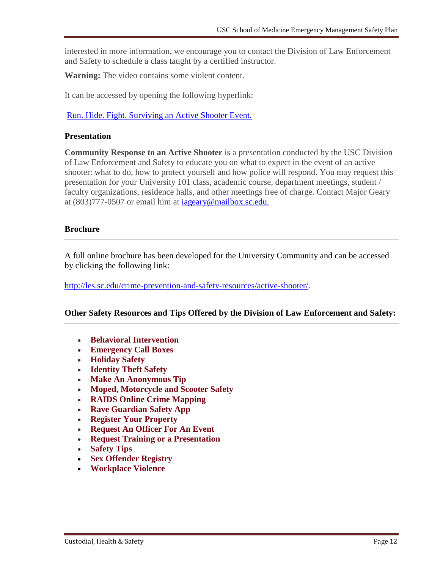interested in more information, we encourage you to contact the Division of Law Enforcement and Safety to schedule a class taught by a certified instructor.

**Warning:** The video contains some violent content.

It can be accessed by opening the following hyperlink:

[Run. Hide. Fight. Surviving an Active Shooter Event.](https://www.youtube.com/watch?v=5VcSwejU2D0&list=PLUra6uw6CXK9SNLZeddcLIufDY5OfnMpU)

#### **Presentation**

**Community Response to an Active Shooter** is a presentation conducted by the USC Division of Law Enforcement and Safety to educate you on what to expect in the event of an active shooter: what to do, how to protect yourself and how police will respond. You may request this presentation for your University 101 class, academic course, department meetings, student / faculty organizations, residence halls, and other meetings free of charge. Contact Major Geary at (803)777-0507 or email him at [iageary@mailbox.sc.edu.](mailto:iageary@mailbox.sc.edu)

#### **Brochure**

A full online brochure has been developed for the University Community and can be accessed by clicking the following link:

[http://les.sc.edu/crime-prevention-and-safety-resources/active-shooter/.](http://les.sc.edu/crime-prevention-and-safety-resources/active-shooter/)

#### **Other Safety Resources and Tips Offered by the Division of Law Enforcement and Safety:**

- **[Behavioral Intervention](http://les.sc.edu/crime-prevention-and-safety-resources/behavioral-intervention/)**
- **[Emergency Call Boxes](http://les.sc.edu/crime-prevention-and-safety-resources/emergency-call-boxes/)**
- **[Holiday Safety](http://les.sc.edu/crime-prevention-and-safety-resources/holiday-safety/)**
- **[Identity Theft Safety](http://les.sc.edu/crime-prevention-and-safety-resources/identity-theft-safety/)**
- **[Make An Anonymous Tip](http://les.sc.edu/crime-prevention-and-safety-resources/make-an-anonymous-tip/)**
- **[Moped, Motorcycle and Scooter Safety](http://les.sc.edu/crime-prevention-and-safety-resources/moped-motorcycle-and-scooter-safety/)**
- **[RAIDS Online Crime Mapping](http://les.sc.edu/crime-prevention-and-safety-resources/raids-online-crime-mapping/)**
- **[Rave Guardian Safety App](http://les.sc.edu/crime-prevention-and-safety-resources/mobile-safety-app/)**
- **[Register Your Property](http://les.sc.edu/crime-prevention-and-safety-resources/register-your-property/)**
- **[Request An Officer For An Event](http://les.sc.edu/crime-prevention-and-safety-resources/request-an-officer-for-an-event/)**
- **[Request Training or a Presentation](http://les.sc.edu/crime-prevention-and-safety-resources/1310-2/)**
- **[Safety Tips](http://les.sc.edu/crime-prevention-and-safety-resources/safety-tips/)**
- **[Sex Offender Registry](http://les.sc.edu/crime-prevention-and-safety-resources/sex-offender-registry/)**
- **[Workplace Violence](http://les.sc.edu/crime-prevention-and-safety-resources/workplace-violence/)**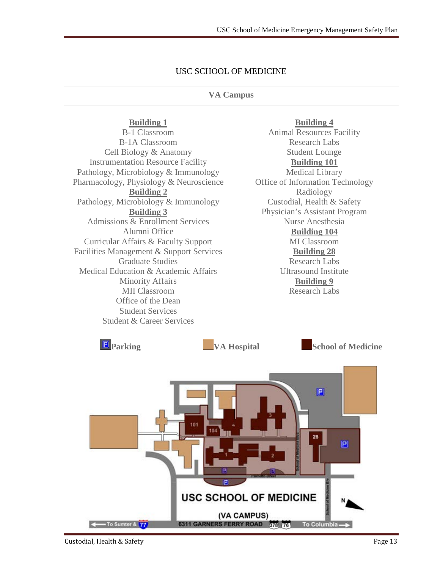#### USC SCHOOL OF MEDICINE

#### **VA Campus**

#### **Building 1**

B-1 Classroom B-1A Classroom Cell Biology & Anatomy Instrumentation Resource Facility Pathology, Microbiology & Immunology Pharmacology, Physiology & Neuroscience **Building 2** Pathology, Microbiology & Immunology **Building 3** Admissions & Enrollment Services Alumni Office Curricular Affairs & Faculty Support Facilities Management & Support Services Graduate Studies Medical Education & Academic Affairs Minority Affairs MII Classroom Office of the Dean Student Services Student & Career Services

**Building 4** Animal Resources Facility Research Labs Student Lounge **Building 101** Medical Library Office of Information Technology Radiology Custodial, Health & Safety Physician's Assistant Program Nurse Anesthesia **Building 104** MI Classroom **Building 28** Research Labs Ultrasound Institute **Building 9** Research Labs

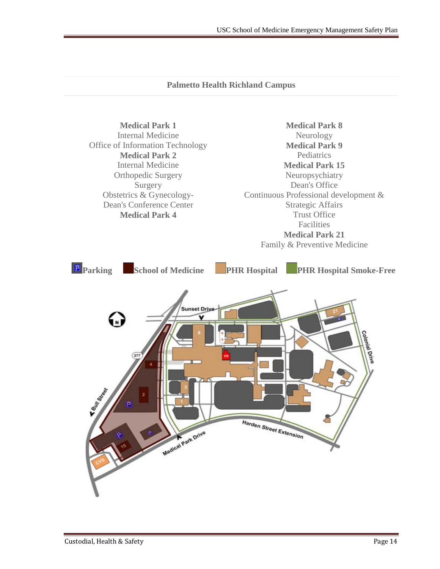#### **Palmetto Health Richland Campus**

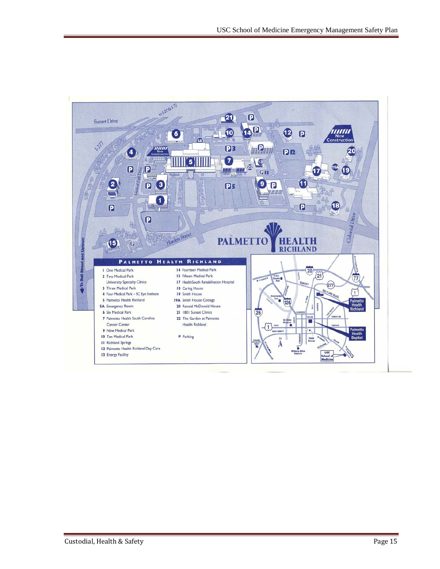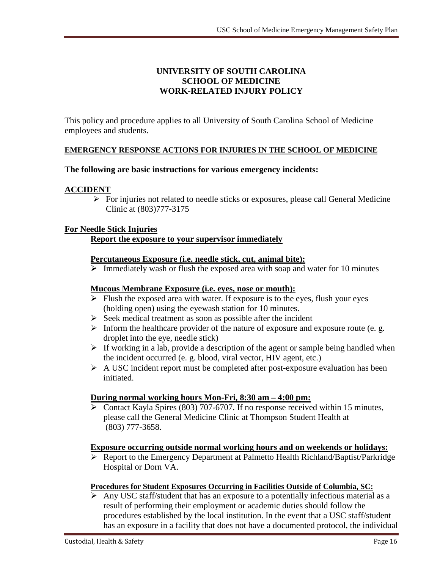#### **UNIVERSITY OF SOUTH CAROLINA SCHOOL OF MEDICINE WORK-RELATED INJURY POLICY**

This policy and procedure applies to all University of South Carolina School of Medicine employees and students.

#### **EMERGENCY RESPONSE ACTIONS FOR INJURIES IN THE SCHOOL OF MEDICINE**

#### **The following are basic instructions for various emergency incidents:**

#### **ACCIDENT**

 $\triangleright$  For injuries not related to needle sticks or exposures, please call General Medicine Clinic at (803)777-3175

#### **For Needle Stick Injuries**

#### **Report the exposure to your supervisor immediately**

#### **Percutaneous Exposure (i.e. needle stick, cut, animal bite):**

 $\triangleright$  Immediately wash or flush the exposed area with soap and water for 10 minutes

#### **Mucous Membrane Exposure (i.e. eyes, nose or mouth):**

- $\triangleright$  Flush the exposed area with water. If exposure is to the eyes, flush your eyes (holding open) using the eyewash station for 10 minutes.
- $\triangleright$  Seek medical treatment as soon as possible after the incident
- $\triangleright$  Inform the healthcare provider of the nature of exposure and exposure route (e. g. droplet into the eye, needle stick)
- $\triangleright$  If working in a lab, provide a description of the agent or sample being handled when the incident occurred (e. g. blood, viral vector, HIV agent, etc.)
- $\triangleright$  A USC incident report must be completed after post-exposure evaluation has been initiated.

#### **During normal working hours Mon-Fri, 8:30 am – 4:00 pm:**

 Contact Kayla Spires (803) 707-6707. If no response received within 15 minutes, please call the General Medicine Clinic at Thompson Student Health at (803) 777-3658.

#### **Exposure occurring outside normal working hours and on weekends or holidays:**

 Report to the Emergency Department at Palmetto Health Richland/Baptist/Parkridge Hospital or Dorn VA.

#### **Procedures for Student Exposures Occurring in Facilities Outside of Columbia, SC:**

 Any USC staff/student that has an exposure to a potentially infectious material as a result of performing their employment or academic duties should follow the procedures established by the local institution. In the event that a USC staff/student has an exposure in a facility that does not have a documented protocol, the individual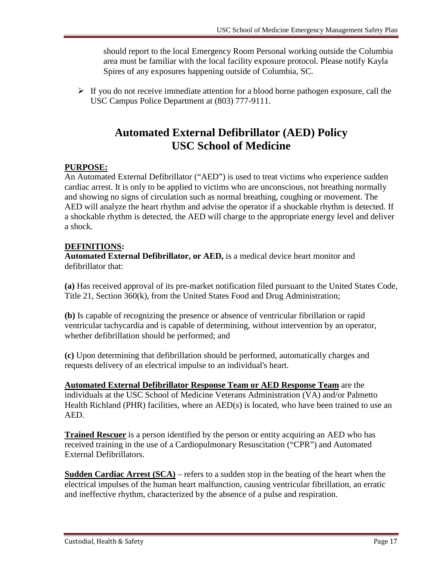should report to the local Emergency Room Personal working outside the Columbia area must be familiar with the local facility exposure protocol. Please notify Kayla Spires of any exposures happening outside of Columbia, SC.

 $\triangleright$  If you do not receive immediate attention for a blood borne pathogen exposure, call the USC Campus Police Department at (803) 777-9111.

### **Automated External Defibrillator (AED) Policy USC School of Medicine**

#### **PURPOSE:**

An Automated External Defibrillator ("AED") is used to treat victims who experience sudden cardiac arrest. It is only to be applied to victims who are unconscious, not breathing normally and showing no signs of circulation such as normal breathing, coughing or movement. The AED will analyze the heart rhythm and advise the operator if a shockable rhythm is detected. If a shockable rhythm is detected, the AED will charge to the appropriate energy level and deliver a shock.

#### **DEFINITIONS:**

**Automated External Defibrillator, or AED,** is a medical device heart monitor and defibrillator that:

**(a)** Has received approval of its pre-market notification filed pursuant to the United States Code, Title 21, Section 360(k), from the United States Food and Drug Administration;

**(b)** Is capable of recognizing the presence or absence of ventricular fibrillation or rapid ventricular tachycardia and is capable of determining, without intervention by an operator, whether defibrillation should be performed; and

**(c)** Upon determining that defibrillation should be performed, automatically charges and requests delivery of an electrical impulse to an individual's heart.

**Automated External Defibrillator Response Team or AED Response Team** are the individuals at the USC School of Medicine Veterans Administration (VA) and/or Palmetto Health Richland (PHR) facilities, where an AED(s) is located, who have been trained to use an AED.

**Trained Rescuer** is a person identified by the person or entity acquiring an AED who has received training in the use of a Cardiopulmonary Resuscitation ("CPR") and Automated External Defibrillators.

**Sudden Cardiac Arrest (SCA)** – refers to a sudden stop in the beating of the heart when the electrical impulses of the human heart malfunction, causing ventricular fibrillation, an erratic and ineffective rhythm, characterized by the absence of a pulse and respiration.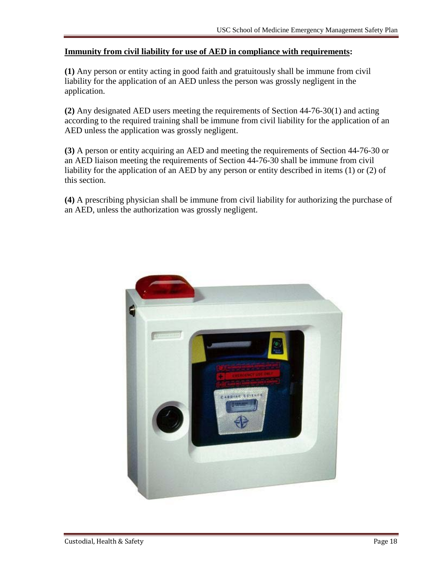#### **Immunity from civil liability for use of AED in compliance with requirements:**

**(1)** Any person or entity acting in good faith and gratuitously shall be immune from civil liability for the application of an AED unless the person was grossly negligent in the application.

**(2)** Any designated AED users meeting the requirements of Section 44-76-30(1) and acting according to the required training shall be immune from civil liability for the application of an AED unless the application was grossly negligent.

**(3)** A person or entity acquiring an AED and meeting the requirements of Section 44-76-30 or an AED liaison meeting the requirements of Section 44-76-30 shall be immune from civil liability for the application of an AED by any person or entity described in items (1) or (2) of this section.

**(4)** A prescribing physician shall be immune from civil liability for authorizing the purchase of an AED, unless the authorization was grossly negligent.

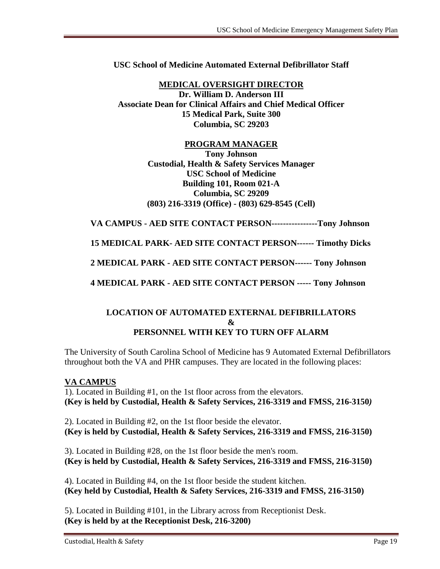**USC School of Medicine Automated External Defibrillator Staff**

**MEDICAL OVERSIGHT DIRECTOR Dr. William D. Anderson III Associate Dean for Clinical Affairs and Chief Medical Officer 15 Medical Park, Suite 300 Columbia, SC 29203**

#### **PROGRAM MANAGER**

**Tony Johnson Custodial, Health & Safety Services Manager USC School of Medicine Building 101, Room 021-A Columbia, SC 29209 (803) 216-3319 (Office) - (803) 629-8545 (Cell)**

**VA CAMPUS - AED SITE CONTACT PERSON----------------Tony Johnson** 

**15 MEDICAL PARK- AED SITE CONTACT PERSON------ Timothy Dicks**

**2 MEDICAL PARK - AED SITE CONTACT PERSON------ Tony Johnson**

**4 MEDICAL PARK - AED SITE CONTACT PERSON ----- Tony Johnson**

#### **LOCATION OF AUTOMATED EXTERNAL DEFIBRILLATORS & PERSONNEL WITH KEY TO TURN OFF ALARM**

The University of South Carolina School of Medicine has 9 Automated External Defibrillators throughout both the VA and PHR campuses. They are located in the following places:

#### **VA CAMPUS**

1). Located in Building #1, on the 1st floor across from the elevators. **(Key is held by Custodial, Health & Safety Services, 216-3319 and FMSS, 216-3150***)* 

2). Located in Building #2, on the 1st floor beside the elevator. **(Key is held by Custodial, Health & Safety Services, 216-3319 and FMSS, 216-3150)** 

3). Located in Building #28, on the 1st floor beside the men's room. **(Key is held by Custodial, Health & Safety Services, 216-3319 and FMSS, 216-3150)** 

4). Located in Building #4, on the 1st floor beside the student kitchen. **(Key held by Custodial, Health & Safety Services, 216-3319 and FMSS, 216-3150)**

5). Located in Building #101, in the Library across from Receptionist Desk. **(Key is held by at the Receptionist Desk, 216-3200)**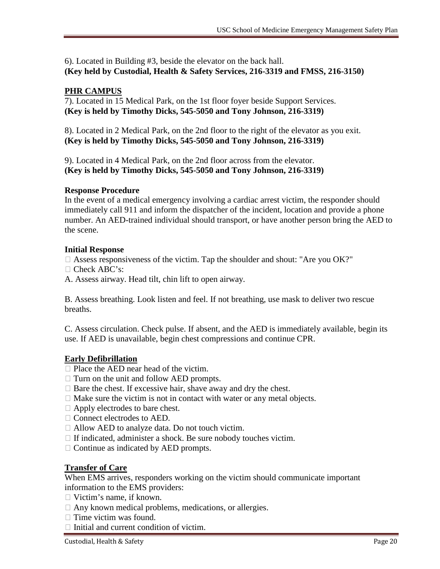6). Located in Building #3, beside the elevator on the back hall. **(Key held by Custodial, Health & Safety Services, 216-3319 and FMSS, 216-3150)** 

#### **PHR CAMPUS**

7). Located in 15 Medical Park, on the 1st floor foyer beside Support Services. **(Key is held by Timothy Dicks, 545-5050 and Tony Johnson, 216-3319)**

8). Located in 2 Medical Park, on the 2nd floor to the right of the elevator as you exit. **(Key is held by Timothy Dicks, 545-5050 and Tony Johnson, 216-3319)**

9). Located in 4 Medical Park, on the 2nd floor across from the elevator. **(Key is held by Timothy Dicks, 545-5050 and Tony Johnson, 216-3319)**

#### **Response Procedure**

In the event of a medical emergency involving a cardiac arrest victim, the responder should immediately call 911 and inform the dispatcher of the incident, location and provide a phone number. An AED-trained individual should transport, or have another person bring the AED to the scene.

#### **Initial Response**

 $\Box$  Assess responsiveness of the victim. Tap the shoulder and shout: "Are you OK?"

- □ Check ABC's:
- A. Assess airway. Head tilt, chin lift to open airway.

B. Assess breathing. Look listen and feel. If not breathing, use mask to deliver two rescue breaths.

C. Assess circulation. Check pulse. If absent, and the AED is immediately available, begin its use. If AED is unavailable, begin chest compressions and continue CPR.

#### **Early Defibrillation**

- $\Box$  Place the AED near head of the victim.
- $\Box$  Turn on the unit and follow AED prompts.
- $\Box$  Bare the chest. If excessive hair, shave away and dry the chest.
- $\Box$  Make sure the victim is not in contact with water or any metal objects.
- □ Apply electrodes to bare chest.
- □ Connect electrodes to AED.
- □ Allow AED to analyze data. Do not touch victim.
- $\Box$  If indicated, administer a shock. Be sure nobody touches victim.
- $\Box$  Continue as indicated by AED prompts.

#### **Transfer of Care**

When EMS arrives, responders working on the victim should communicate important information to the EMS providers:

- □ Victim's name, if known.
- $\Box$  Any known medical problems, medications, or allergies.
- $\Box$  Time victim was found.
- $\Box$  Initial and current condition of victim.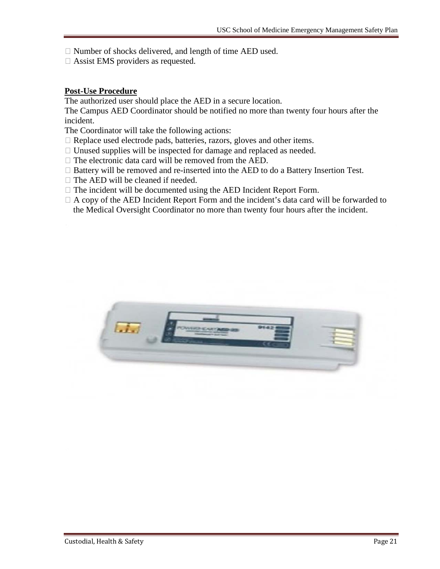$\Box$  Number of shocks delivered, and length of time AED used.

Assist EMS providers as requested.

#### **Post-Use Procedure**

The authorized user should place the AED in a secure location.

The Campus AED Coordinator should be notified no more than twenty four hours after the incident.

The Coordinator will take the following actions:

- □ Replace used electrode pads, batteries, razors, gloves and other items.
- $\Box$  Unused supplies will be inspected for damage and replaced as needed.
- $\Box$  The electronic data card will be removed from the AED.
- $\Box$  Battery will be removed and re-inserted into the AED to do a Battery Insertion Test.
- $\Box$  The AED will be cleaned if needed.
- $\Box$  The incident will be documented using the AED Incident Report Form.
- $\Box$  A copy of the AED Incident Report Form and the incident's data card will be forwarded to the Medical Oversight Coordinator no more than twenty four hours after the incident.

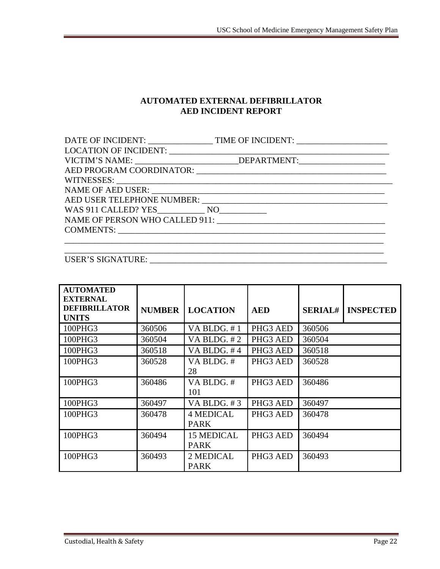#### **AUTOMATED EXTERNAL DEFIBRILLATOR AED INCIDENT REPORT**

| VICTIM'S NAME: ______________________________DEPARTMENT:________________________ |
|----------------------------------------------------------------------------------|
|                                                                                  |
|                                                                                  |
|                                                                                  |
|                                                                                  |
|                                                                                  |
| NAME OF PERSON WHO CALLED 911:                                                   |
|                                                                                  |
|                                                                                  |

#### USER'S SIGNATURE: \_\_\_\_\_\_\_\_\_\_\_\_\_\_\_\_\_\_\_\_\_\_\_\_\_\_\_\_\_\_\_\_\_\_\_\_\_\_\_\_\_\_\_\_\_\_\_\_\_\_\_\_\_\_\_

| <b>AUTOMATED</b><br><b>EXTERNAL</b>  |               |                                  |            |                |                  |
|--------------------------------------|---------------|----------------------------------|------------|----------------|------------------|
| <b>DEFIBRILLATOR</b><br><b>UNITS</b> | <b>NUMBER</b> | <b>LOCATION</b>                  | <b>AED</b> | <b>SERIAL#</b> | <b>INSPECTED</b> |
| 100PHG3                              | 360506        | VA BLDG. #1                      | PHG3 AED   | 360506         |                  |
| 100PHG3                              | 360504        | VA BLDG. $#2$                    | PHG3 AED   | 360504         |                  |
| 100PHG3                              | 360518        | VA BLDG, $#4$                    | PHG3 AED   | 360518         |                  |
| 100PHG3                              | 360528        | VA BLDG. #<br>28                 | PHG3 AED   | 360528         |                  |
| 100PHG3                              | 360486        | VA BLDG. #<br>101                | PHG3 AED   | 360486         |                  |
| 100PHG3                              | 360497        | VA BLDG. #3                      | PHG3 AED   | 360497         |                  |
| 100PHG3                              | 360478        | <b>4 MEDICAL</b><br><b>PARK</b>  | PHG3 AED   | 360478         |                  |
| 100PHG3                              | 360494        | <b>15 MEDICAL</b><br><b>PARK</b> | PHG3 AED   | 360494         |                  |
| 100PHG3                              | 360493        | 2 MEDICAL<br><b>PARK</b>         | PHG3 AED   | 360493         |                  |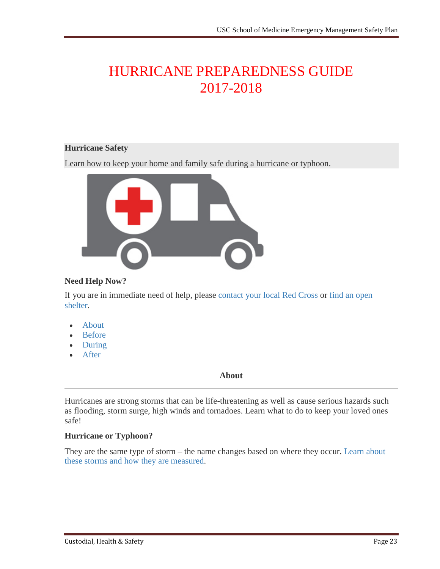## HURRICANE PREPAREDNESS GUIDE 2017-2018

#### **Hurricane Safety**

Learn how to keep your home and family safe during a hurricane or typhoon.



#### **Need Help Now?**

If you are in immediate need of help, please [contact your local Red Cross](http://www.redcross.org/find-your-local-chapter) or [find an open](http://www.redcross.org/get-help/disaster-relief-and-recovery/find-an-open-shelter)  [shelter.](http://www.redcross.org/get-help/disaster-relief-and-recovery/find-an-open-shelter)

- [About](http://www.redcross.org/get-help/prepare-for-emergencies/types-of-emergencies/hurricane#About)
- [Before](http://www.redcross.org/get-help/prepare-for-emergencies/types-of-emergencies/hurricane#Before)
- [During](http://www.redcross.org/get-help/prepare-for-emergencies/types-of-emergencies/hurricane#During)
- [After](http://www.redcross.org/get-help/prepare-for-emergencies/types-of-emergencies/hurricane#After)

#### **About**

Hurricanes are strong storms that can be life-threatening as well as cause serious hazards such as flooding, storm surge, high winds and tornadoes. Learn what to do to keep your loved ones safe!

#### **Hurricane or Typhoon?**

They are the same type of storm – the name changes based on where they occur. [Learn about](http://www.redcross.org/get-help/prepare-for-emergencies/types-of-emergencies/hurricane/hurricane-vs-typhoon)  [these storms and how they are measured.](http://www.redcross.org/get-help/prepare-for-emergencies/types-of-emergencies/hurricane/hurricane-vs-typhoon)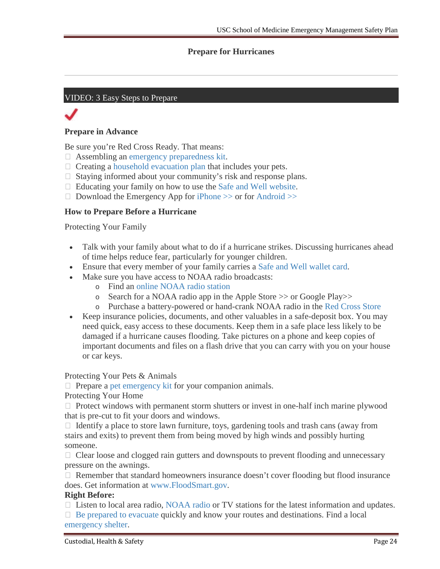#### **Prepare for Hurricanes**

#### VIDEO: 3 Easy Steps to Prepare

#### **Prepare in Advance**

Be sure you're Red Cross Ready. That means:

- Assembling an [emergency preparedness kit.](http://www.redcross.org/get-help/prepare-for-emergencies/be-red-cross-ready/get-a-kit)
- $\Box$  Creating a [household evacuation plan](http://www.redcross.org/get-help/prepare-for-emergencies/be-red-cross-ready/make-a-plan) that includes your pets.
- $\Box$  Staying informed about your community's risk and response plans.
- $\Box$  Educating your family on how to use the [Safe and Well website.](http://www.redcross.org/get-help/disaster-relief/contact-and-locate-loved-ones)
- $\Box$  Download the Emergency App for iPhone  $\gg$  or for Android  $\gg$

#### **How to Prepare Before a Hurricane**

Protecting Your Family

- Talk with your family about what to do if a hurricane strikes. Discussing hurricanes ahead of time helps reduce fear, particularly for younger children.
- Ensure that every member of your family carries a [Safe and Well wallet card.](https://intranet.redcross.org/content/dam/redcross/documents/our_services/DisasterCycleServices/dcs-capabilities/mass_care/safe_and_well_linking/PrintableTenSafeAndWellCards.pdf)
- Make sure you have access to NOAA radio broadcasts:
	- o Find an [online NOAA radio station](https://www.google.com/#q=NOAA+Radio+Station)
	- o Search for a NOAA radio app in the Apple Store >> or Google Play>>
	- o Purchase a battery-powered or hand-crank NOAA radio in the [Red Cross Store](http://www.redcrossstore.org/shopper/prodlist.aspx?new=1&searchText=NOAA%20radio)
- Keep insurance policies, documents, and other valuables in a safe-deposit box. You may need quick, easy access to these documents. Keep them in a safe place less likely to be damaged if a hurricane causes flooding. Take pictures on a phone and keep copies of important documents and files on a flash drive that you can carry with you on your house or car keys.

Protecting Your Pets & Animals

 $\Box$  Prepare a [pet emergency kit](http://www.redcross.org/prepare/location/home-family/pets) for your companion animals.

Protecting Your Home

 $\Box$  Protect windows with permanent storm shutters or invest in one-half inch marine plywood that is pre-cut to fit your doors and windows.

 $\Box$  Identify a place to store lawn furniture, toys, gardening tools and trash cans (away from stairs and exits) to prevent them from being moved by high winds and possibly hurting someone.

 $\Box$  Clear loose and clogged rain gutters and downspouts to prevent flooding and unnecessary pressure on the awnings.

 $\Box$  Remember that standard homeowners insurance doesn't cover flooding but flood insurance does. Get information at [www.FloodSmart.gov.](http://www.floodsmart.gov/)

#### **Right Before:**

 $\Box$  Listen to local area radio, [NOAA radio](http://www.redcrossstore.org/category/id/1) or TV stations for the latest information and updates.

 $\Box$  [Be prepared to evacuate](http://www.redcross.org/prepare/location/home-family/plan) quickly and know your routes and destinations. Find a local [emergency shelter.](http://www.redcross.org/get-help/disaster-relief-and-recovery/find-an-open-shelter)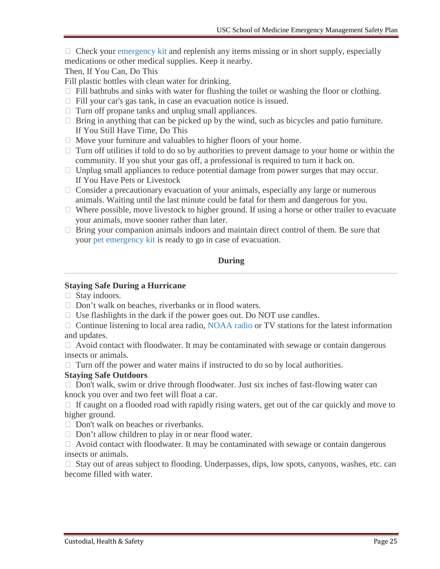$\Box$  Check your [emergency kit](http://www.redcross.org/get-help/prepare-for-emergencies/types-of-emergencies/Link%20to%20http:/www.redcross.org/get-help/prepare-for-emergencies/be-red-cross-ready/get-a-kit) and replenish any items missing or in short supply, especially medications or other medical supplies. Keep it nearby.

Then, If You Can, Do This

Fill plastic bottles with clean water for drinking.

- $\Box$  Fill bathtubs and sinks with water for flushing the toilet or washing the floor or clothing.
- Fill your car's gas tank, in case an evacuation notice is issued.
- $\Box$  Turn off propane tanks and unplug small appliances.
- $\Box$  Bring in anything that can be picked up by the wind, such as bicycles and patio furniture. If You Still Have Time, Do This
- $\Box$  Move your furniture and valuables to higher floors of your home.
- $\Box$  Turn off utilities if told to do so by authorities to prevent damage to your home or within the community. If you shut your gas off, a professional is required to turn it back on.
- $\Box$  Unplug small appliances to reduce potential damage from power surges that may occur. If You Have Pets or Livestock
- $\Box$  Consider a precautionary evacuation of your animals, especially any large or numerous animals. Waiting until the last minute could be fatal for them and dangerous for you.
- $\Box$  Where possible, move livestock to higher ground. If using a horse or other trailer to evacuate your animals, move sooner rather than later.
- $\Box$  Bring your companion animals indoors and maintain direct control of them. Be sure that your [pet emergency kit](http://www.redcross.org/prepare/location/home-family/pets) is ready to go in case of evacuation.

#### **During**

#### **Staying Safe During a Hurricane**

□ Stay indoors.

- $\Box$  Don't walk on beaches, riverbanks or in flood waters.
- $\Box$  Use flashlights in the dark if the power goes out. Do NOT use candles.

□ Continue listening to local area radio, [NOAA radio](http://www.redcrossstore.org/category/id/1) or TV stations for the latest information and updates.

 $\Box$  Avoid contact with floodwater. It may be contaminated with sewage or contain dangerous insects or animals.

 $\Box$  Turn off the power and water mains if instructed to do so by local authorities.

#### **Staying Safe Outdoors**

 $\Box$  Don't walk, swim or drive through floodwater. Just six inches of fast-flowing water can knock you over and two feet will float a car.

 $\Box$  If caught on a flooded road with rapidly rising waters, get out of the car quickly and move to higher ground.

- $\Box$  Don't walk on beaches or riverbanks.
- $\Box$  Don't allow children to play in or near flood water.

 $\Box$  Avoid contact with floodwater. It may be contaminated with sewage or contain dangerous insects or animals.

 $\Box$  Stay out of areas subject to flooding. Underpasses, dips, low spots, canyons, washes, etc. can become filled with water.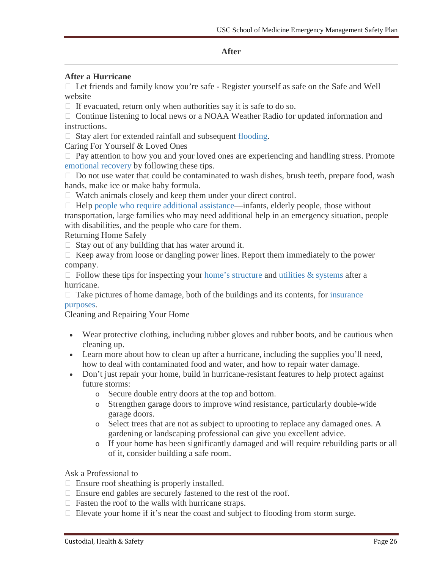#### **After**

#### **After a Hurricane**

 $\Box$  Let friends and family know you're safe - Register yourself as safe on the Safe and Well website

 $\Box$  If evacuated, return only when authorities say it is safe to do so.

 $\Box$  Continue listening to local news or a NOAA Weather Radio for updated information and instructions.

 $\Box$  Stay alert for extended rainfall and subsequent [flooding.](http://www.redcross.org/get-help/prepare-for-emergencies/types-of-emergencies/flood)

Caring For Yourself & Loved Ones

 $\Box$  Pay attention to how you and your loved ones are experiencing and handling stress. Promote [emotional recovery](http://www.redcross.org/find-help/disaster-recovery/recovering-emotionally) by following these tips.

 $\Box$  Do not use water that could be contaminated to wash dishes, brush teeth, prepare food, wash hands, make ice or make baby formula.

Watch animals closely and keep them under your direct control.

 $\Box$  Help [people who require additional assistance—](http://www.redcross.org/get-help/prepare-for-emergencies/those-who-need-extra-help)infants, elderly people, those without transportation, large families who may need additional help in an emergency situation, people with disabilities, and the people who care for them.

Returning Home Safely

 $\Box$  Stay out of any building that has water around it.

 $\Box$  Keep away from loose or dangling power lines. Report them immediately to the power company.

 $\Box$  Follow these tips for inspecting your [home's structure](http://www.redcross.org/find-help/disaster-recovery/home-structural-elements) and [utilities & systems](http://www.redcross.org/find-help/disaster-recovery/utilities-major-systems) after a hurricane.

 $\Box$  Take pictures of home damage, both of the buildings and its contents, for insurance [purposes.](http://www.redcross.org/find-help/disaster-recovery/recovering-financially)

Cleaning and Repairing Your Home

- Wear protective clothing, including rubber gloves and rubber boots, and be cautious when cleaning up.
- Learn more about how to clean up after a hurricane, including the supplies you'll need, how to deal with contaminated food and water, and how to repair water damage.
- Don't just repair your home, build in hurricane-resistant features to help protect against future storms:
	- o Secure double entry doors at the top and bottom.
	- o Strengthen garage doors to improve wind resistance, particularly double-wide garage doors.
	- o Select trees that are not as subject to uprooting to replace any damaged ones. A gardening or landscaping professional can give you excellent advice.
	- o If your home has been significantly damaged and will require rebuilding parts or all of it, consider building a safe room.

Ask a Professional to

- $\Box$  Ensure roof sheathing is properly installed.
- Ensure end gables are securely fastened to the rest of the roof.
- $\Box$  Fasten the roof to the walls with hurricane straps.
- $\Box$  Elevate your home if it's near the coast and subject to flooding from storm surge.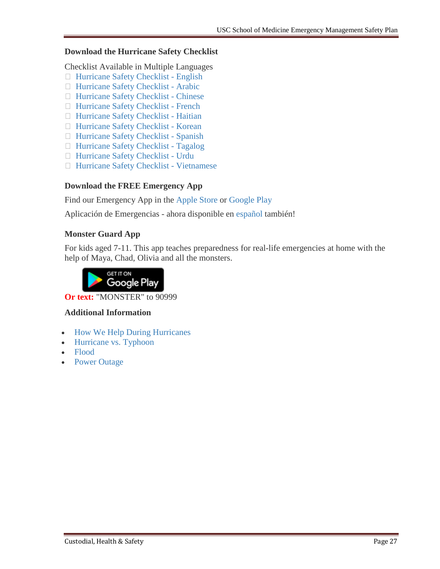#### **Download the Hurricane Safety Checklist**

Checklist Available in Multiple Languages

- $\Box$  [Hurricane Safety Checklist -](http://www.redcross.org/images/MEDIA_CustomProductCatalog/m4340160_Hurricane.pdf) English
- □ [Hurricane Safety Checklist -](http://www.redcross.org/images/MEDIA_CustomProductCatalog/m4440156_Hurricane_ARA_final.pdf) Arabic
- □ [Hurricane Safety Checklist -](http://www.redcross.org/images/MEDIA_CustomProductCatalog/m4440161_Hurricane_SC_final.pdf) Chinese
- □ [Hurricane Safety Checklist -](http://www.redcross.org/images/MEDIA_CustomProductCatalog/m4440158_Hurricane_FR_final.pdf) French
- [Hurricane Safety Checklist -](http://www.redcross.org/images/MEDIA_CustomProductCatalog/m11940179_2HT_Hurricane_12-10.pdf) Haitian
- □ [Hurricane Safety Checklist -](http://www.redcross.org/images/MEDIA_CustomProductCatalog/m4440159_Hurricane_KO_final.pdf) Korean
- [Hurricane Safety Checklist -](http://www.redcross.org/images/MEDIA_CustomProductCatalog/m4440162_Hurricane_SPN.pdf) Spanish
- □ [Hurricane Safety Checklist -](http://www.redcross.org/images/MEDIA_CustomProductCatalog/m4440157_Hurricane_ENG_TG_final.pdf) Tagalog
- [Hurricane Safety Checklist -](http://www.redcross.org/images/MEDIA_CustomProductCatalog/m34140111_Hurricane_Urdu.pdf) Urdu
- [Hurricane Safety Checklist -](http://www.redcross.org/images/MEDIA_CustomProductCatalog/m4440164_Hurricane_VT_final.pdf) Vietnamese

#### **Download the FREE Emergency App**

Find our Emergency App in the [Apple Store](https://itunes.apple.com/us/app/emergency-by-american-red/id954783878?mt=8) or [Google Play](https://play.google.com/store/apps/details?id=com.cube.arc.hzd)

Aplicación de Emergencias - ahora disponible en [español](http://www.redcross.org/cruz-roja/preparate/aplicaciones-moviles) también!

#### **Monster Guard App**

For kids aged 7-11. This app teaches preparedness for real-life emergencies at home with the help of Maya, Chad, Olivia and all the monsters.



**Or text:** "MONSTER" to 90999

#### **Additional Information**

- [How We Help During Hurricanes](http://www.redcross.org/about-us/our-work/disaster-relief/hurricane-relief)
- [Hurricane vs. Typhoon](http://www.redcross.org/get-help/prepare-for-emergencies/types-of-emergencies/hurricane/hurricane-vs-typhoon)
- [Flood](http://www.redcross.org/get-help/prepare-for-emergencies/types-of-emergencies/flood)
- Power Outage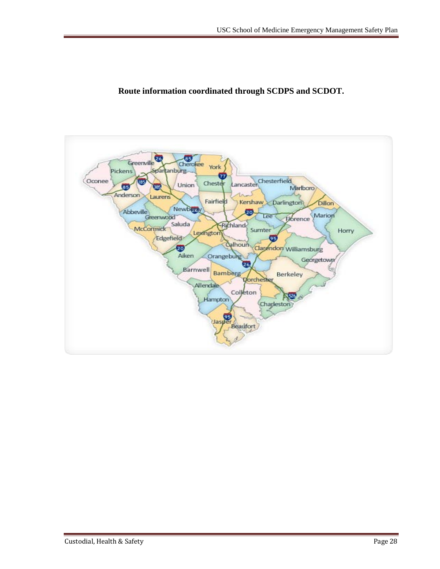

#### **Route information coordinated through SCDPS and SCDOT.**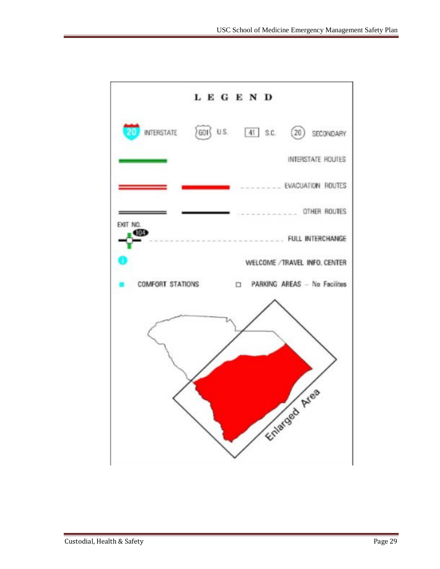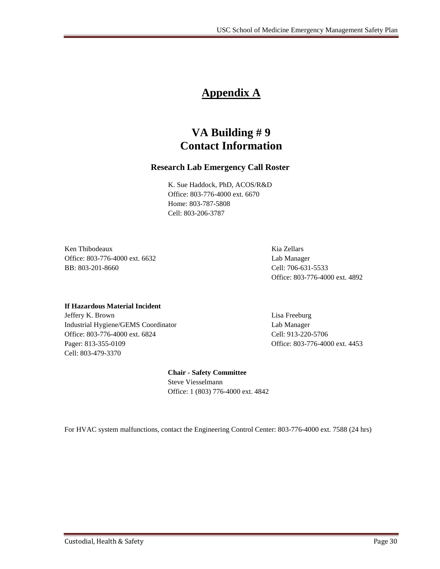### **Appendix A**

### **VA Building # 9 Contact Information**

#### **Research Lab Emergency Call Roster**

K. Sue Haddock, PhD, ACOS/R&D Office: 803-776-4000 ext. 6670 Home: 803-787-5808 Cell: 803-206-3787

Ken Thibodeaux **Kia Zellars** Kia Zellars **Kia Zellars** Kia Zellars **Kia Zellars** Kia Zellars **Kia Zellars** Kia Zellars **Kia Zellars** Kia Zellars **Kia Zellars** Kia Zellars **Kia Zellars** Kia Zellars **Kia Zellars** Kia Zellars Office: 803-776-4000 ext. 6632 Lab Manager BB: 803-201-8660 Cell: 706-631-5533

Office: 803-776-4000 ext. 4892

#### **If Hazardous Material Incident**

Jeffery K. Brown Lisa Freeburg Industrial Hygiene/GEMS Coordinator Lab Manager Office: 803-776-4000 ext. 6824 Cell: 913-220-5706 Pager: 813-355-0109 Office: 803-776-4000 ext. 4453 Cell: 803-479-3370

#### **Chair - Safety Committee** Steve Viesselmann

Office: 1 (803) 776-4000 ext. 4842

For HVAC system malfunctions, contact the Engineering Control Center: 803-776-4000 ext. 7588 (24 hrs)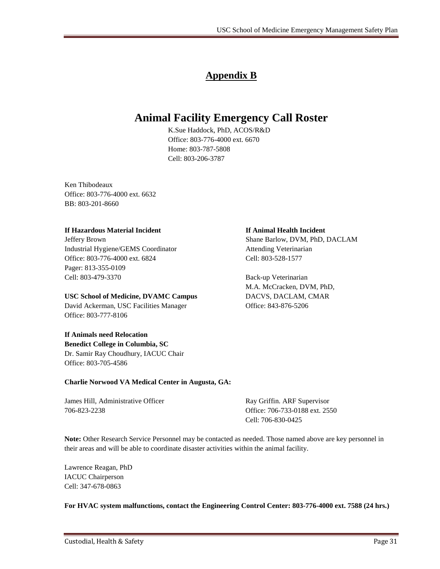### **Appendix B**

### **Animal Facility Emergency Call Roster**

K.Sue Haddock, PhD, ACOS/R&D Office: 803-776-4000 ext. 6670 Home: 803-787-5808 Cell: 803-206-3787

Ken Thibodeaux Office: 803-776-4000 ext. 6632 BB: 803-201-8660

#### **If Hazardous Material Incident If Animal Health Incident**

Jeffery Brown Shane Barlow, DVM, PhD, DACLAM Industrial Hygiene/GEMS Coordinator Attending Veterinarian Office: 803-776-4000 ext. 6824 Cell: 803-528-1577 Pager: 813-355-0109 Cell: 803-479-3370 Back-up Veterinarian

#### **USC School of Medicine, DVAMC Campus** DACVS, DACLAM, CMAR

David Ackerman, USC Facilities Manager Office: 843-876-5206 Office: 803-777-8106

#### **If Animals need Relocation**

**Benedict College in Columbia, SC** Dr. Samir Ray Choudhury, IACUC Chair Office: 803-705-4586

#### **Charlie Norwood VA Medical Center in Augusta, GA:**

James Hill, Administrative Officer **Ray Griffin.** ARF Supervisor 706-823-2238 Office: 706-733-0188 ext. 2550

Cell: 706-830-0425

**Note:** Other Research Service Personnel may be contacted as needed. Those named above are key personnel in their areas and will be able to coordinate disaster activities within the animal facility.

Lawrence Reagan, PhD IACUC Chairperson Cell: 347-678-0863

**For HVAC system malfunctions, contact the Engineering Control Center: 803-776-4000 ext. 7588 (24 hrs.)**

M.A. McCracken, DVM, PhD,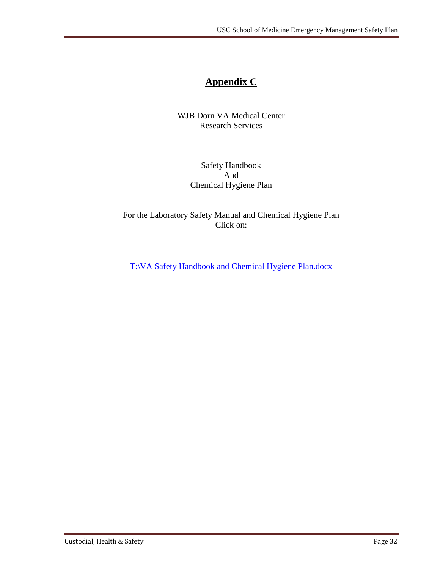### **Appendix C**

WJB Dorn VA Medical Center Research Services

> Safety Handbook And Chemical Hygiene Plan

For the Laboratory Safety Manual and Chemical Hygiene Plan Click on:

T:\VA Safety Handbook and Chemical Hygiene Plan.docx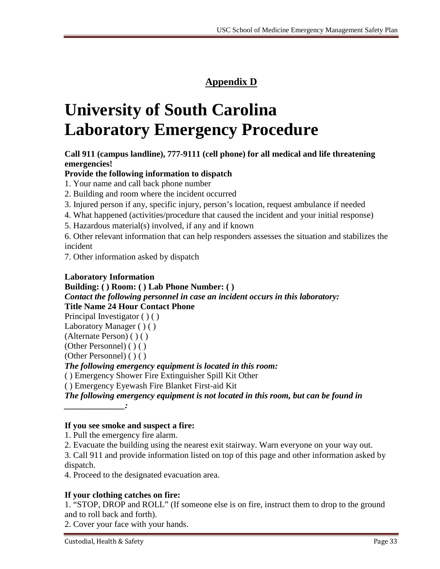### **Appendix D**

# **University of South Carolina Laboratory Emergency Procedure**

#### **Call 911 (campus landline), 777-9111 (cell phone) for all medical and life threatening emergencies!**

#### **Provide the following information to dispatch**

1. Your name and call back phone number

2. Building and room where the incident occurred

3. Injured person if any, specific injury, person's location, request ambulance if needed

4. What happened (activities/procedure that caused the incident and your initial response)

5. Hazardous material(s) involved, if any and if known

6. Other relevant information that can help responders assesses the situation and stabilizes the incident

7. Other information asked by dispatch

#### **Laboratory Information**

**Building: ( ) Room: ( ) Lab Phone Number: ( )**  *Contact the following personnel in case an incident occurs in this laboratory:*  **Title Name 24 Hour Contact Phone** 

Principal Investigator ( ) ( )

Laboratory Manager ( ) ( )

(Alternate Person) ( ) ( )

(Other Personnel) ( ) ( )

(Other Personnel) ( ) ( )

*\_\_\_\_\_\_\_\_\_\_\_\_\_\_:* 

*The following emergency equipment is located in this room:* 

( ) Emergency Shower Fire Extinguisher Spill Kit Other

( ) Emergency Eyewash Fire Blanket First-aid Kit

*The following emergency equipment is not located in this room, but can be found in* 

**If you see smoke and suspect a fire:** 

1. Pull the emergency fire alarm.

2. Evacuate the building using the nearest exit stairway. Warn everyone on your way out.

3. Call 911 and provide information listed on top of this page and other information asked by dispatch.

4. Proceed to the designated evacuation area.

#### **If your clothing catches on fire:**

1. "STOP, DROP and ROLL" (If someone else is on fire, instruct them to drop to the ground and to roll back and forth).

2. Cover your face with your hands.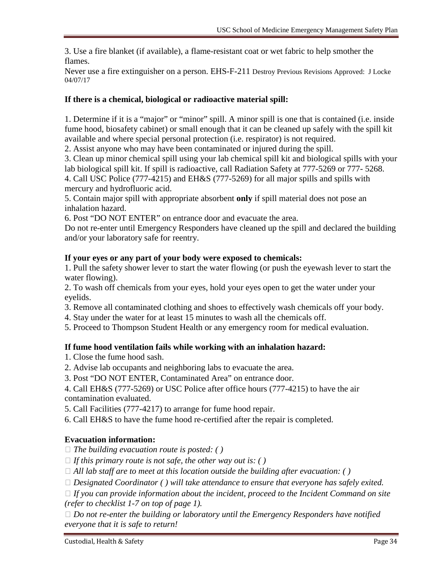3. Use a fire blanket (if available), a flame-resistant coat or wet fabric to help smother the flames.

Never use a fire extinguisher on a person. EHS-F-211 Destroy Previous Revisions Approved: J Locke 04/07/17

#### **If there is a chemical, biological or radioactive material spill:**

1. Determine if it is a "major" or "minor" spill. A minor spill is one that is contained (i.e. inside fume hood, biosafety cabinet) or small enough that it can be cleaned up safely with the spill kit available and where special personal protection (i.e. respirator) is not required.

2. Assist anyone who may have been contaminated or injured during the spill.

3. Clean up minor chemical spill using your lab chemical spill kit and biological spills with your lab biological spill kit. If spill is radioactive, call Radiation Safety at 777-5269 or 777- 5268.

4. Call USC Police (777-4215) and EH&S (777-5269) for all major spills and spills with mercury and hydrofluoric acid.

5. Contain major spill with appropriate absorbent **only** if spill material does not pose an inhalation hazard.

6. Post "DO NOT ENTER" on entrance door and evacuate the area.

Do not re-enter until Emergency Responders have cleaned up the spill and declared the building and/or your laboratory safe for reentry.

#### **If your eyes or any part of your body were exposed to chemicals:**

1. Pull the safety shower lever to start the water flowing (or push the eyewash lever to start the water flowing).

2. To wash off chemicals from your eyes, hold your eyes open to get the water under your eyelids.

- 3. Remove all contaminated clothing and shoes to effectively wash chemicals off your body.
- 4. Stay under the water for at least 15 minutes to wash all the chemicals off.

5. Proceed to Thompson Student Health or any emergency room for medical evaluation.

#### **If fume hood ventilation fails while working with an inhalation hazard:**

1. Close the fume hood sash.

- 2. Advise lab occupants and neighboring labs to evacuate the area.
- 3. Post "DO NOT ENTER, Contaminated Area" on entrance door.

4. Call EH&S (777-5269) or USC Police after office hours (777-4215) to have the air contamination evaluated.

5. Call Facilities (777-4217) to arrange for fume hood repair.

6. Call EH&S to have the fume hood re-certified after the repair is completed.

#### **Evacuation information:**

*The building evacuation route is posted: ( )* 

- $\Box$  *If this primary route is not safe, the other way out is: ()*
- $\Box$  *All lab staff are to meet at this location outside the building after evacuation: ()*

*Designated Coordinator ( ) will take attendance to ensure that everyone has safely exited.* 

 *If you can provide information about the incident, proceed to the Incident Command on site (refer to checklist 1-7 on top of page 1).* 

 *Do not re-enter the building or laboratory until the Emergency Responders have notified everyone that it is safe to return!*